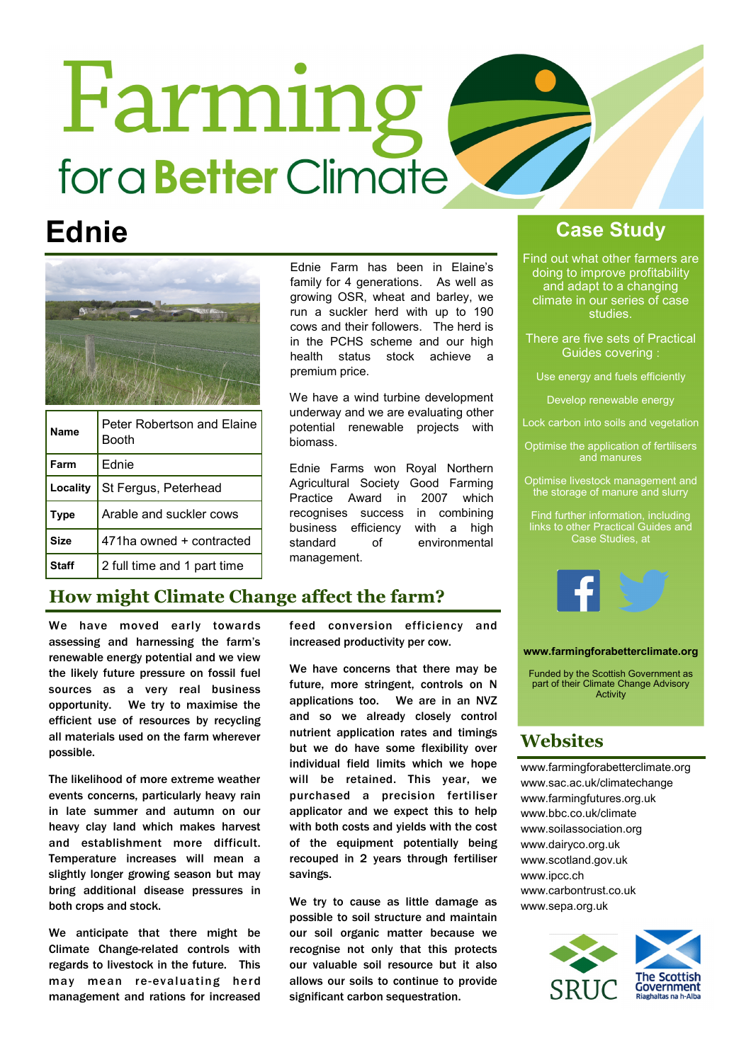# Farming for a **Better** Climate



| Name         | Peter Robertson and Elaine<br>Booth |
|--------------|-------------------------------------|
| Farm         | Ednie                               |
| Locality     | St Fergus, Peterhead                |
| <b>Type</b>  | Arable and suckler cows             |
| <b>Size</b>  | 471ha owned + contracted            |
| <b>Staff</b> | 2 full time and 1 part time         |

Ednie Farm has been in Elaine's family for 4 generations. As well as growing OSR, wheat and barley, we run a suckler herd with up to 190 cows and their followers. The herd is in the PCHS scheme and our high health status stock achieve a premium price.

We have a wind turbine development underway and we are evaluating other potential renewable projects with biomass.

Ednie Farms won Royal Northern Agricultural Society Good Farming Practice Award in 2007 which recognises success in combining business efficiency with a high standard of environmental management.

### How might Climate Change affect the farm?

We have moved early towards assessing and harnessing the farm's renewable energy potential and we view the likely future pressure on fossil fuel sources as a very real business opportunity. We try to maximise the efficient use of resources by recycling all materials used on the farm wherever possible.

The likelihood of more extreme weather events concerns, particularly heavy rain in late summer and autumn on our heavy clay land which makes harvest and establishment more difficult. Temperature increases will mean a slightly longer growing season but may bring additional disease pressures in both crops and stock.

We anticipate that there might be Climate Change-related controls with regards to livestock in the future. This may mean re-evaluating herd management and rations for increased

feed conversion efficiency and increased productivity per cow.

We have concerns that there may be future, more stringent, controls on N applications too. We are in an NVZ and so we already closely control nutrient application rates and timings but we do have some flexibility over individual field limits which we hope will be retained. This year, we purchased a precision fertiliser applicator and we expect this to help with both costs and yields with the cost of the equipment potentially being recouped in 2 years through fertiliser savings.

We try to cause as little damage as possible to soil structure and maintain our soil organic matter because we recognise not only that this protects our valuable soil resource but it also allows our soils to continue to provide significant carbon sequestration.

### Ednie Case Study

Find out what other farmers are doing to improve profitability and adapt to a changing climate in our series of case studies.

There are five sets of Practical Guides covering :

Use energy and fuels efficiently

Develop renewable energy

- Lock carbon into soils and vegetation
- Optimise the application of fertilisers
- Optimise livestock management and the storage of manure and slurry

Find further information, including links to other Practical Guides and Case Studies, at



### www.farmingforabetterclimate.org

Funded by the Scottish Government as part of their Climate Change Advisory Activity

### Websites

www.farmingforabetterclimate.org www.sac.ac.uk/climatechange www.farmingfutures.org.uk www.bbc.co.uk/climate www.soilassociation.org www.dairyco.org.uk www.scotland.gov.uk www.ipcc.ch www.carbontrust.co.uk www.sepa.org.uk